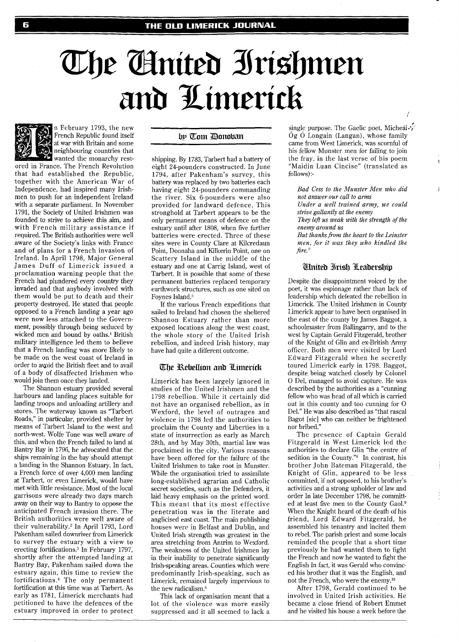# The Ginited Irishmen and Limerick



n February 1793, the new French Republic found itself at war with Britain and some **Ref**erence that the integral equation of the that

wanted the monarchy restored in France. The French Revolution that had established the Republic, together with the American War of Independence, had inspired many Irishmen to push for an independent Ireland with a separate parliament. In November 1791, the Society of United Irishmen was founded to strive to achieve this aim, and with French military assistance if required. The British authorities were well aware of the Society's links with France and of plans for a French invasion of Ireland. In April 1798, Major General James Duff of Limerick issued a proclamation warning people that the French had plundered every country they invaded and that anybody involved with them would be put to death and their property destroyed. He stated that people opposed to a French landing a year ago were now less attached to the Government, possibly through being seduced by wicked men and bound by oaths.' British military intelligence led them to believe that a French landing was more likely to be made on the west coast of Ireland in order to avoid the British fleet and to avail of a body of disaffected Irishmen who would join them once they landed.

The Shannon estuary provided several harbours and landing places suitable for landing troops and unloading artillery and stores. The waterway known as "Tarbert Roads," in particular, provided shelter by means of Tarbert Island to the west and north-west. Wolfe Tone was well aware of this, and when the French failed to land at Bantry Bay in 1796, he advocated that the ships remaining in the bay should attempt a landing in the Shannon Estuary. In fact, a French force of over 4,000 men landing at Tarbert, or even Limerick, would have met with little resistance. Most of the local garrisons were already two days march away on their way to Bantry to oppose the anticipated French invasion there. The British authorities were well aware of their vulnerability.<sup>2</sup> In April 1793, Lord Pakenharn sailed downriver from Limerick to survey the estuary with a view to erecting fortifications.<sup>3</sup> In February 1797, shortly after the attempted landing at Bantry Bay, Pakenham sailed down the estuary again, this time to review the fortification^.^ The only permanent fortification at this time was at Tarbert. As early as 1781, Limerick merchants had petitioned to have the defences of the estuary improved in order to protect

#### by Tom Donoban

shipping. By 1783, Tarbert had a battery of eight 24-pounders constructed. In June 1794, after Pakenham's survey, this battery was replaced by two batteries each having eight 24-pounders commanding the river. Six 6-pounders were also provided for landward defence. This stronghold at Tarbert appears to be the only permanent means of defence on the estuary until after 1808, when five further batteries were erected. Three of these sites were in County Clare at Kilcredaun Point, Doonaha and Kilkerin Point, one on Scattery Island in the middle of the estuary and one at Carrig Island, west of Tarbert. It is possible that some of these permanent batteries replaced temporary earthwork structures, such as one sited on Foynes Island.5

If the various French expeditions that sailed to Ireland had chosen the sheltered Shannon Estuary rather than more exposed locations along the west coast, the whole story of the United Irish rebellion, and indeed Irish history, may have had quite a different outcome.

#### The Rebellion and Limerick

Limerick has been largely ignored in studies of the United Irishmen and the 1798 rebellion. While it certainly did not have an organised rebellion, as in Wexford, the level of outrages and violence in 1798 led the authorities to proclaim the County and Liberties in a state of insurrection as early as March 28th, and by May 30th, martial law was proclaimed in the city. Various reasons have been offered for the failure of the United Irishmen to take root in Munster. While the organisation tried to assimilate long-established agrarian and Catholic secret societies, such as the Defenders, it laid heavy emphasis on the printed word. This meant that its most effective penetration was in the literate and anglicised east coast. The main publishing houses were in Belfast and Dublin, and United Irish strength was greatest in the area stretching from Antrim to Wexford. The weakness of the United Irishmen lay in their inability to penetrate significantly Irish-speaking areas. Counties which were predominantly Irish-speaking, such as Limerick, remained largely impervious to the new radicalism.<sup>6</sup>

This lack of organisation meant that a lot of the violence was more easily suppressed and it all seemed to lack a

single purpose. The Gaelic poet, Micheal.', Og *0* Longain (Langan), whose family came from West Limerick, was scornful of his fellow Munster men for failing to join the fray, in the last verse of his poem "Maidin Luan Cincise" (translated as follows):-

*Bad Cess to the Munster Men who did* ; *not answer our call to arms* 

*Under a well trained army, we could strive gallantly at the enemy* 

*They left us weak with the strength of the enemy around us* 

*But thanksfiom the heart to the Leinster men, for it was they who kindled the fire.'* 

#### **Hnited Irish Leadership**

Despite the disappointment voiced by the poet, it was espionage rather than lack of leadership which defeated the rebellion in Limerick. The United Irishmen in County Limerick appear to have been organised in the east of the county by James Baggot, a schoolmaster from Ballingarry, and to the west by Captain Gerald Fitzgerald, brother of the Knight of Glin and ex-British Army officer. Both men were visited by Lord Edward Fitzgerald when he secretly toured Limerick early in 1798. Baggot, despite being watched closely by Colonel *0* Del, managed to avoid capture. He was described by the authorities as a "cunning fellow who was head of all which is carried out in this county and too cunning for 0 Del." He was also described as "that rascal Bagot [sic] who can neither be frightened nor bribed."

The presence of Captain Gerald Fitzgerald in West Limerick led the authorities to declare Glin "the centre of sedition in the County."<sup>8</sup> In contrast, his brother John Bateman Fitzgerald, the Knight of Glin, appeared to be less committed, if not opposed, to his brother's activities and a strong upholder of law and order In late December 1798, he committed at least five men to the County Gaol.<sup>9</sup> When the Knight heard of the death of his friend, Lord Edward Fitzgerald, he assembled his tenantry and incited them to rebel. The parish priest and some locals reminded the people that a short time previously he had wanted them to fight the French and now he wanted to fight the English In fact, it was Gerald who convinced his brother that it was the English, and not the French, who were the enemy.1°

After 1798, Gerald continued to be involved in United Irish activities. He became a close friend of Robert Emmet and he visited his house a week before the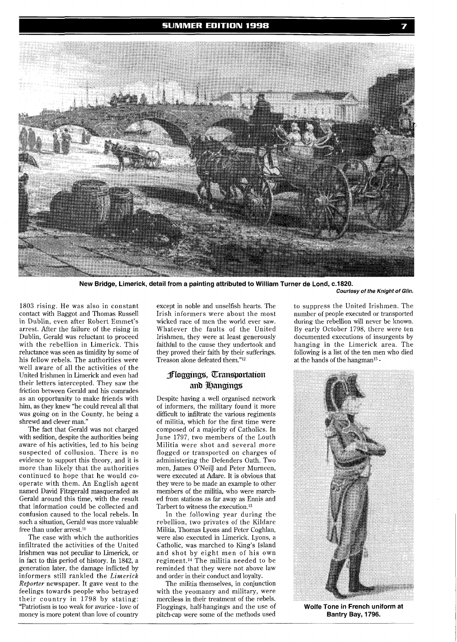

**New Bridge, Limerick, detail from a painting attributed to William Turner de Lond, c.1820.** 

**Courtesy of the Knight of Glin.** 

1803 rising. He was also in constant contact with Baggot and Thomas Russell in Dublin, even after Robert Emmet's arrest. After the failure of the rising in Dublin, Gerald was reluctant to proceed with the rebellion in Limerick. This reluctance was seen as timidity by some of his fellow rebels. The authorities were well aware of all the activities of the United Irishmen in Limerick and even had their letters intercepted. They saw the friction between Gerald and his comrades as an opportunity to make friends with him, as they knew "he could reveal all that was going on in the County, he being a shrewd and clever man."

The fact that Gerald was not charged with sedition, despite the authorities being aware of his activities, led to his being suspected of collusion. There is no evidence to support this theory, and it is more than likely that the authorities continued to hope that he would cooperate with them. An English agent named David Fitzgerald masqueraded as Gerald around this time, with the result that information could be collected and confusion caused to the local rebels. In such a situation, Gerald was more valuable free than under arrest.<sup>11</sup>

The ease with which the authorities infiltrated the activities of the United Irishmen was not peculiar to Limerick, or in fact to this period of history. In 1842, a generation later, the damage inflicted by informers still rankled the *Limerick Reporter* newspaper. It gave vent to the feelings towards people who betrayed their country in 1798 by stating: "Patriotism is too weak for avarice - love of money is more potent than love of country

except in noble and unselfish hearts. The Irish informers were about the most wicked race of men the world ever saw. Whatever the faults of the United Irishmen, they were at least generously faithful to the cause they undertook and they proved their faith by their sufferings. Treason alone defeated them."<sup>12</sup>

## **floggings**, *Cransportation* and **Langings**

Despite having a well organised network of informers, the military found it more difficult to infiltrate the various regiments of militia, which for the first time were composed of a majority of Catholics. In June 1797, two members of the Louth Militia were shot and several more flogged or transported on charges of administering the Defenders Oath. Two men, James O'NeilJ and Peter Murneen, were executed at Adare. It is obvious that they were to be made an example to other members of the militia, who were marched from stations as far away as Ennis and Tarbert to witness the execution.<sup>13</sup>

In the following year during the rebellion, two privates of the Kildare Militia, Thomas Lyons and Peter Coghlan, were also executed in Limerick. Lyons, a Catholic, was marched to King's Island and shot by eight men of his own regiment.14 The militia needed to be reminded that they were not above law and order in their conduct and loyalty.

The militia themselves, in conjunction with the yeomanry and military, were merciless in their treatment of the rebels. Floggings, half-hangings and the use of pitch-cap were some of the methods used

to suppress the United Irishmen. The number of people executed or transported during the rebellion will never be known. By early October 1798, there were ten documented executions of insurgents by hanging in the Limerick area. The following is a list of the ten men who died at the hands of the hangman15 -



**Wolfe Tone in French uniform at Bantry Bay, 1796.**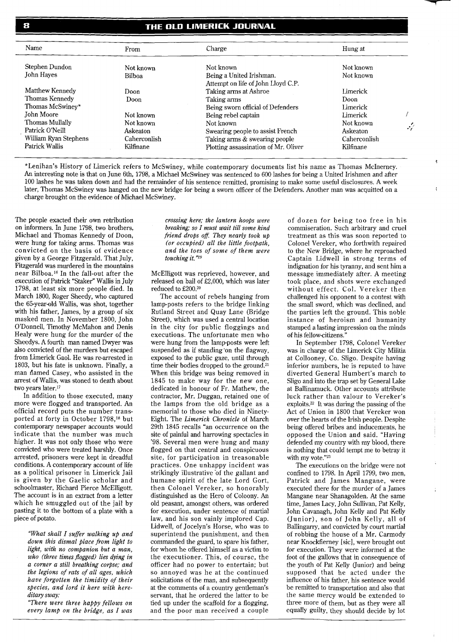### THE OLD LIMERICK JOURNAL

| Name                                                  | From          | Charge                                                                                                          | Hung at                      |               |
|-------------------------------------------------------|---------------|-----------------------------------------------------------------------------------------------------------------|------------------------------|---------------|
| Stephen Dundon                                        | Not known     | Not known                                                                                                       | Not known                    |               |
| John Haves                                            | <b>Bilboa</b> | Being a United Irishman.                                                                                        | Not known                    |               |
| Matthew Kennedy<br>Thomas Kennedy<br>Thomas McSwiney* | Doon<br>Doon  | Attempt on life of John Lloyd C.P.<br>Taking arms at Ashroe<br>Taking arms<br>Being sworn official of Defenders | Limerick<br>Doon<br>Limerick |               |
| John Moore                                            | Not known     | Being rebel captain                                                                                             | Limerick                     | $\mathcal{L}$ |
| Thomas Mullally                                       | Not known     | Not known                                                                                                       | Not known                    |               |
| Patrick O'Neill                                       | Askeaton      | Swearing people to assist French                                                                                | Askeaton                     |               |
| William Ryan Stephens                                 | Caherconlish  | Taking arms & swearing people                                                                                   | Caherconlish                 |               |
| Patrick Wallis                                        | Kilfinane     | Plotting assassination of Mr. Oliver                                                                            | Kilfinane                    |               |

\*Lenihan's History of Limerick refers to McSwiney, while contemporary documents list his name as Thomas McInerney. An interesting note is that on June 6th, 1798, a Michael McSwiney was sentenced to 600 lashes for being a United Irishmen and after 100 lashes he was taken down and had the remainder of his sentence remitted, promising to make some useful disclosures. A week later, Thomas McSwiney was hanged on the new bridge for being a sworn officer of the Defenders. Another man was acquitted on a charge brought on the evidence of Michael McSwiney.

The people exacted their own retribution on informers. In June 1798, two brothers, Michael and Thomas Kennedy of Doon, were hung for taking arms. Thomas was convicted on the basis of evidence given by a George Fitzgerald. That July, Fitzgerald was murdered in the mountains near Bilboa.16 In the fall-out after the execution of Patrick "Staker" Wallis in July 1798, at least six more people died. In March 1800, Roger Sheedy, who captured the 65-year-old Wallis, was shot, together with his father, James, by a group of six masked men. In November 1800, John O'Donnell, Timothy McMahon and Denis Healy were hung for the murder of the Sheedys. A fourth man named Dwyer was also convicted of the murders but escaped from Limerick Gaol. He was re-arrested in 1803, but his fate is unknown. Finally, a man named Casey, who assisted in the arrest of Wallis, was stoned to death about two years later.17

In addition to those executed, many more were flogged and transported. An official record puts the number transported at forty in October 1798,18 but contemporary newspaper accounts would indicate that the number was much higher. It was not only those who were convicted who were treated harshly. Once arrested, prisoners were kept in dreadful conditions. A contemporary account of life as a political prisoner in Limerick Jail is given by the Gaelic scholar and schoolmaster, Richard Pierce McElligott. The account is in an extract from a letter which he smuggled out of the jail by pasting it to the bottom of a plate with a piece of potato.

*"What shall I suffer walking up and down this dismal place from light to*   $light, with no companion but a man,$ *who (three times flogged) lies dying in a corner a still breathing corpse; and the legions of rats of all ages, which have forgotten the timidity of their species, and lord it here with hereditary sway:* 

*"There were three happy fellows on every lamp on the bridge, as I was* 

*crossing here; the lantern hoops were breaking; so I must wait till some kind friend drops off. They nearly took up (or occupied) all the little footpath, and the toes of some of them were touching it."I9* 

McElligott was reprieved, however, and released on bail of £2,000, which was later reduced to £200.20

The account of rebels hanging from lamp-posts refers to the bridge linking Rutland Street and Quay Lane (Bridge Street), which was used a central location in the city for public floggings and executions. The unfortunate men who were hung from the lamp-posts were left suspended as if standing 'on the flagway, exposed to the public gaze, until through time their bodies dropped to the ground.21 When this bridge was being removed in 1845 to make way for the new one, dedicated in honour of Fr. Mathew, the contractor, Mr. Duggan, retained one of the lamps from the old bridge as a memorial to those who died in Ninety-Eight. The *Limerick Chronicle* of March 29th 1845 recalls "an occurrence on the site of painful and harrowing spectacles in '98. Several men were hung and many flogged on that central and conspicuous site, for participation in treasonable practices. One unhappy incident was strikingly illustrative "of the gallant and humane spirit of the late Lord Gort, then Colonel Vereker, so honorably distinguished as the Hero of Coloony. An old peasant, amongst others, was ordered for execution, under sentence of martial law, and his son vainly implored Cap. Lidwell, of Jocelyn's Horse, who was to superintend the punishment, and then commanded the guard, to spare his father, for whom he offered himself as a victim to the executioner. This, of course, the officer had no power to entertain; but so annoyed was he at the continued solicitations of the man, and subsequently at the comments of a country gentleman's servant, that he ordered the latter to be tied up under the scaffold for a flogging, and the poor man received a couple

of dozen for being too free in his commiseration. Such arbitrary and cruel treatment as this was soon reported to Colonel Vereker, who forthwith repaired to the New Bridge, where he reproached Captain Lidwell in strong terms of indignation for his tyranny, and sent him a message immediately after. A meeting took place, and shots were exchanged without effect. Col. Vereker then challenged his opponent to a contest with the small sword, which was declined, and the parties left the ground. This noble instance of heroism and humanity stamped a lasting impression on the minds of his fellow-citizens."

?

In September 1798, Colonel Vereker was in charge of the Limerick City Militia at Collooney, Co. Sligo. Despite having inferior numbers, he is reputed to have diverted General Humbert's march to Sligo and into the trap set by General Lake at Ballinamuck. Other accounts attribute luck rather than valour to Vereker's exploits.<sup>22</sup> It was during the passing of the Act of Union in 1800 that Vereker won over the hearts of the Irish people. Despite being offered bribes and inducements, he opposed the Union and said. "Having defended my country with my blood, there is nothing that could tempt me to betray it with my vote."23

The executions on the bridge were not confined to 1798. In April 1799, two men, Patrick and James Mangane, were executed there for the murder of a James Mangane near Shanagolden. At the same time, James Lacy, John Sullivan, Pat Kelly, John Cavanagh, John Kelly and Pat Kelly (Junior), son of John Kelly, all of Ballingany, and convicted by court martial of robbing the house of a Mr. Carmody near Knockfierney [sic], were brought out for execution. They were informed at the foot of the gallows that in consequence of the youth of Pat Kelly (Junior) and being supposed that he acted under the influence of his father, his sentence would be remitted to transportation and also that the same mercy would be extended to three more of them, but as they were all equally guilty, they should decide by lot